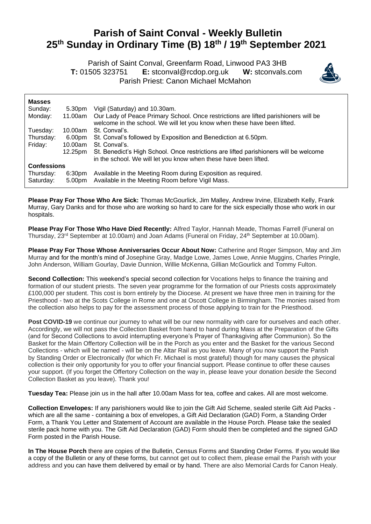## **Parish of Saint Conval - Weekly Bulletin 25 th Sunday in Ordinary Time (B) 18 th / 19 th September 2021**

 Parish of Saint Conval, Greenfarm Road, Linwood PA3 3HB **T:** 01505 323751 **E:** [stconval@rcdop.org.uk](mailto:stconval@rcdop.org.uk) **W:** stconvals.com Parish Priest: Canon Michael McMahon



| <b>Masses</b>          |                  |                                                                                                                                                                 |
|------------------------|------------------|-----------------------------------------------------------------------------------------------------------------------------------------------------------------|
| Sunday:                | 5.30pm           | Vigil (Saturday) and 10.30am.                                                                                                                                   |
| Monday:                | 11.00am          | Our Lady of Peace Primary School. Once restrictions are lifted parishioners will be<br>welcome in the school. We will let you know when these have been lifted. |
| Tuesday:               | 10.00am          | St. Conval's.                                                                                                                                                   |
| Thursday:              | 6.00pm           | St. Conval's followed by Exposition and Benediction at 6.50pm.                                                                                                  |
| Friday:                | 10.00am          | St. Conval's.                                                                                                                                                   |
|                        | 12.25pm          | St. Benedict's High School. Once restrictions are lifted parishioners will be welcome<br>in the school. We will let you know when these have been lifted.       |
| <b>Confessions</b>     |                  |                                                                                                                                                                 |
| Thursday:<br>Saturday: | 6:30pm<br>5.00pm | Available in the Meeting Room during Exposition as required.<br>Available in the Meeting Room before Vigil Mass.                                                |

**Please Pray For Those Who Are Sick:** Thomas McGourlick, Jim Malley, Andrew Irvine, Elizabeth Kelly, Frank Murray, Gary Danks and for those who are working so hard to care for the sick especially those who work in our hospitals.

**Please Pray For Those Who Have Died Recently:** Alfred Taylor, Hannah Meade, Thomas Farrell (Funeral on Thursday, 23<sup>rd</sup> September at 10.00am) and Joan Adams (Funeral on Friday, 24<sup>th</sup> September at 10.00am).

**Please Pray For Those Whose Anniversaries Occur About Now:** Catherine and Roger Simpson, May and Jim Murray and for the month's mind of Josephine Gray, Madge Lowe, James Lowe, Annie Muggins, Charles Pringle, John Anderson, William Gourlay, Davie Dunnion, Willie McKenna, Gillian McGourlick and Tommy Fulton.

**Second Collection:** This weekend's special second collection for Vocations helps to finance the training and formation of our student priests. The seven year programme for the formation of our Priests costs approximately £100,000 per student. This cost is born entirely by the Diocese. At present we have three men in training for the Priesthood - two at the Scots College in Rome and one at Oscott College in Birmingham. The monies raised from the collection also helps to pay for the assessment process of those applying to train for the Priesthood.

Post COVID-19 we continue our journey to what will be our new normality with care for ourselves and each other. Accordingly, we will not pass the Collection Basket from hand to hand during Mass at the Preparation of the Gifts (and for Second Collections to avoid interrupting everyone's Prayer of Thanksgiving after Communion). So the Basket for the Main Offertory Collection will be in the Porch as you enter and the Basket for the various Second Collections - which will be named - will be on the Altar Rail as you leave. Many of you now support the Parish by Standing Order or Electronically (for which Fr. Michael is most grateful) though for many causes the physical collection is their only opportunity for you to offer your financial support. Please continue to offer these causes your support. (If you forget the Offertory Collection on the way in, please leave your donation *beside* the Second Collection Basket as you leave). Thank you!

**Tuesday Tea:** Please join us in the hall after 10.00am Mass for tea, coffee and cakes. All are most welcome.

**Collection Envelopes:** If any parishioners would like to join the Gift Aid Scheme, sealed sterile Gift Aid Packs which are all the same - containing a box of envelopes, a Gift Aid Declaration (GAD) Form, a Standing Order Form, a Thank You Letter and Statement of Account are available in the House Porch. Please take the sealed sterile pack home with you. The Gift Aid Declaration (GAD) Form should then be completed and the signed GAD Form posted in the Parish House.

**In The House Porch** there are copies of the Bulletin, Census Forms and Standing Order Forms. If you would like a copy of the Bulletin or any of these forms, but cannot get out to collect them, please email the Parish with your address and you can have them delivered by email or by hand. There are also Memorial Cards for Canon Healy.